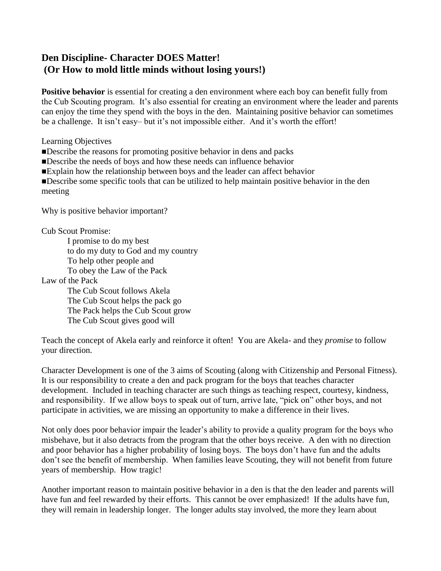## **Den Discipline- Character DOES Matter! (Or How to mold little minds without losing yours!)**

**Positive behavior** is essential for creating a den environment where each boy can benefit fully from the Cub Scouting program. It's also essential for creating an environment where the leader and parents can enjoy the time they spend with the boys in the den. Maintaining positive behavior can sometimes be a challenge. It isn't easy– but it's not impossible either. And it's worth the effort!

Learning Objectives

Describe the reasons for promoting positive behavior in dens and packs

- Describe the needs of boys and how these needs can influence behavior
- Explain how the relationship between boys and the leader can affect behavior

Describe some specific tools that can be utilized to help maintain positive behavior in the den meeting

Why is positive behavior important?

Cub Scout Promise:

I promise to do my best to do my duty to God and my country To help other people and To obey the Law of the Pack Law of the Pack The Cub Scout follows Akela The Cub Scout helps the pack go The Pack helps the Cub Scout grow The Cub Scout gives good will

Teach the concept of Akela early and reinforce it often! You are Akela- and they *promise* to follow your direction.

Character Development is one of the 3 aims of Scouting (along with Citizenship and Personal Fitness). It is our responsibility to create a den and pack program for the boys that teaches character development. Included in teaching character are such things as teaching respect, courtesy, kindness, and responsibility. If we allow boys to speak out of turn, arrive late, "pick on" other boys, and not participate in activities, we are missing an opportunity to make a difference in their lives.

Not only does poor behavior impair the leader's ability to provide a quality program for the boys who misbehave, but it also detracts from the program that the other boys receive. A den with no direction and poor behavior has a higher probability of losing boys. The boys don't have fun and the adults don't see the benefit of membership. When families leave Scouting, they will not benefit from future years of membership. How tragic!

Another important reason to maintain positive behavior in a den is that the den leader and parents will have fun and feel rewarded by their efforts. This cannot be over emphasized! If the adults have fun, they will remain in leadership longer. The longer adults stay involved, the more they learn about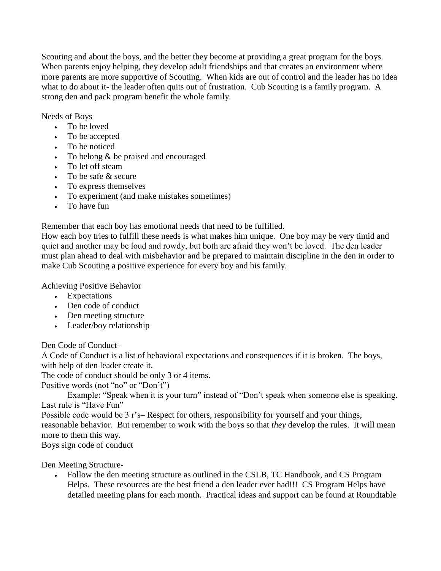Scouting and about the boys, and the better they become at providing a great program for the boys. When parents enjoy helping, they develop adult friendships and that creates an environment where more parents are more supportive of Scouting. When kids are out of control and the leader has no idea what to do about it- the leader often quits out of frustration. Cub Scouting is a family program. A strong den and pack program benefit the whole family.

Needs of Boys

- To be loved
- To be accepted
- To be noticed
- To belong  $&$  be praised and encouraged
- To let off steam
- To be safe & secure
- To express themselves
- To experiment (and make mistakes sometimes)
- . To have fun

Remember that each boy has emotional needs that need to be fulfilled.

How each boy tries to fulfill these needs is what makes him unique. One boy may be very timid and quiet and another may be loud and rowdy, but both are afraid they won't be loved. The den leader must plan ahead to deal with misbehavior and be prepared to maintain discipline in the den in order to make Cub Scouting a positive experience for every boy and his family.

Achieving Positive Behavior

- Expectations
- Den code of conduct
- Den meeting structure
- Leader/boy relationship

Den Code of Conduct–

A Code of Conduct is a list of behavioral expectations and consequences if it is broken. The boys, with help of den leader create it.

The code of conduct should be only 3 or 4 items.

Positive words (not "no" or "Don't")

Example: "Speak when it is your turn" instead of "Don't speak when someone else is speaking. Last rule is "Have Fun"

Possible code would be 3 r's– Respect for others, responsibility for yourself and your things, reasonable behavior. But remember to work with the boys so that *they* develop the rules. It will mean more to them this way.

Boys sign code of conduct

Den Meeting Structure-

 Follow the den meeting structure as outlined in the CSLB, TC Handbook, and CS Program Helps. These resources are the best friend a den leader ever had!!! CS Program Helps have detailed meeting plans for each month. Practical ideas and support can be found at Roundtable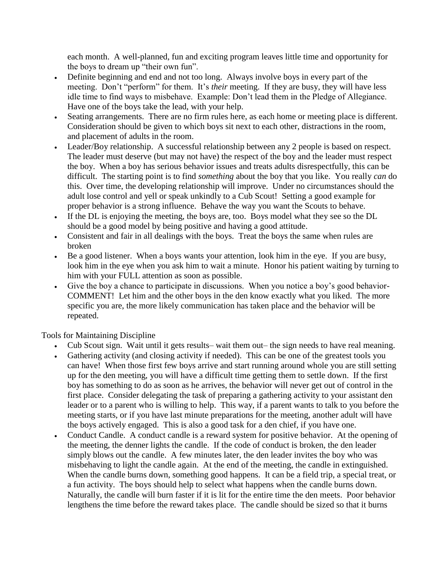each month. A well-planned, fun and exciting program leaves little time and opportunity for the boys to dream up "their own fun".

- Definite beginning and end and not too long. Always involve boys in every part of the meeting. Don't "perform" for them. It's *their* meeting. If they are busy, they will have less idle time to find ways to misbehave. Example: Don't lead them in the Pledge of Allegiance. Have one of the boys take the lead, with your help.
- Seating arrangements. There are no firm rules here, as each home or meeting place is different. Consideration should be given to which boys sit next to each other, distractions in the room, and placement of adults in the room.
- Leader/Boy relationship. A successful relationship between any 2 people is based on respect. The leader must deserve (but may not have) the respect of the boy and the leader must respect the boy. When a boy has serious behavior issues and treats adults disrespectfully, this can be difficult. The starting point is to find *something* about the boy that you like. You really *can* do this. Over time, the developing relationship will improve. Under no circumstances should the adult lose control and yell or speak unkindly to a Cub Scout! Setting a good example for proper behavior is a strong influence. Behave the way you want the Scouts to behave.
- If the DL is enjoying the meeting, the boys are, too. Boys model what they see so the DL should be a good model by being positive and having a good attitude.
- Consistent and fair in all dealings with the boys. Treat the boys the same when rules are broken
- Be a good listener. When a boys wants your attention, look him in the eye. If you are busy, look him in the eye when you ask him to wait a minute. Honor his patient waiting by turning to him with your FULL attention as soon as possible.
- Give the boy a chance to participate in discussions. When you notice a boy's good behavior-COMMENT! Let him and the other boys in the den know exactly what you liked. The more specific you are, the more likely communication has taken place and the behavior will be repeated.

Tools for Maintaining Discipline

- Cub Scout sign. Wait until it gets results– wait them out– the sign needs to have real meaning.
- Gathering activity (and closing activity if needed). This can be one of the greatest tools you can have! When those first few boys arrive and start running around whole you are still setting up for the den meeting, you will have a difficult time getting them to settle down. If the first boy has something to do as soon as he arrives, the behavior will never get out of control in the first place. Consider delegating the task of preparing a gathering activity to your assistant den leader or to a parent who is willing to help. This way, if a parent wants to talk to you before the meeting starts, or if you have last minute preparations for the meeting, another adult will have the boys actively engaged. This is also a good task for a den chief, if you have one.
- Conduct Candle. A conduct candle is a reward system for positive behavior. At the opening of the meeting, the denner lights the candle. If the code of conduct is broken, the den leader simply blows out the candle. A few minutes later, the den leader invites the boy who was misbehaving to light the candle again. At the end of the meeting, the candle in extinguished. When the candle burns down, something good happens. It can be a field trip, a special treat, or a fun activity. The boys should help to select what happens when the candle burns down. Naturally, the candle will burn faster if it is lit for the entire time the den meets. Poor behavior lengthens the time before the reward takes place. The candle should be sized so that it burns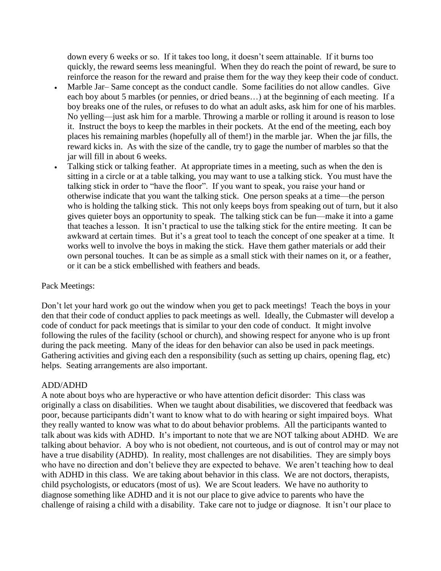down every 6 weeks or so. If it takes too long, it doesn't seem attainable. If it burns too quickly, the reward seems less meaningful. When they do reach the point of reward, be sure to reinforce the reason for the reward and praise them for the way they keep their code of conduct.

- Marble Jar– Same concept as the conduct candle. Some facilities do not allow candles. Give each boy about 5 marbles (or pennies, or dried beans…) at the beginning of each meeting. If a boy breaks one of the rules, or refuses to do what an adult asks, ask him for one of his marbles. No yelling—just ask him for a marble. Throwing a marble or rolling it around is reason to lose it. Instruct the boys to keep the marbles in their pockets. At the end of the meeting, each boy places his remaining marbles (hopefully all of them!) in the marble jar. When the jar fills, the reward kicks in. As with the size of the candle, try to gage the number of marbles so that the jar will fill in about 6 weeks.
- Talking stick or talking feather. At appropriate times in a meeting, such as when the den is sitting in a circle or at a table talking, you may want to use a talking stick. You must have the talking stick in order to "have the floor". If you want to speak, you raise your hand or otherwise indicate that you want the talking stick. One person speaks at a time—the person who is holding the talking stick. This not only keeps boys from speaking out of turn, but it also gives quieter boys an opportunity to speak. The talking stick can be fun—make it into a game that teaches a lesson. It isn't practical to use the talking stick for the entire meeting. It can be awkward at certain times. But it's a great tool to teach the concept of one speaker at a time. It works well to involve the boys in making the stick. Have them gather materials or add their own personal touches. It can be as simple as a small stick with their names on it, or a feather, or it can be a stick embellished with feathers and beads.

## Pack Meetings:

Don't let your hard work go out the window when you get to pack meetings! Teach the boys in your den that their code of conduct applies to pack meetings as well. Ideally, the Cubmaster will develop a code of conduct for pack meetings that is similar to your den code of conduct. It might involve following the rules of the facility (school or church), and showing respect for anyone who is up front during the pack meeting. Many of the ideas for den behavior can also be used in pack meetings. Gathering activities and giving each den a responsibility (such as setting up chairs, opening flag, etc) helps. Seating arrangements are also important.

## ADD/ADHD

A note about boys who are hyperactive or who have attention deficit disorder: This class was originally a class on disabilities. When we taught about disabilities, we discovered that feedback was poor, because participants didn't want to know what to do with hearing or sight impaired boys. What they really wanted to know was what to do about behavior problems. All the participants wanted to talk about was kids with ADHD. It's important to note that we are NOT talking about ADHD. We are talking about behavior. A boy who is not obedient, not courteous, and is out of control may or may not have a true disability (ADHD). In reality, most challenges are not disabilities. They are simply boys who have no direction and don't believe they are expected to behave. We aren't teaching how to deal with ADHD in this class. We are taking about behavior in this class. We are not doctors, therapists, child psychologists, or educators (most of us). We are Scout leaders. We have no authority to diagnose something like ADHD and it is not our place to give advice to parents who have the challenge of raising a child with a disability. Take care not to judge or diagnose. It isn't our place to